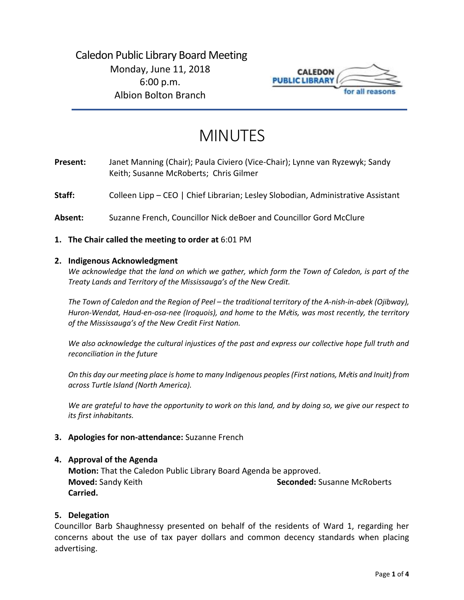

# MINUTES

**Present:** Janet Manning (Chair); Paula Civiero (Vice-Chair); Lynne van Ryzewyk; Sandy Keith; Susanne McRoberts; Chris Gilmer

Staff: Colleen Lipp – CEO | Chief Librarian; Lesley Slobodian, Administrative Assistant

- **Absent:** Suzanne French, Councillor Nick deBoer and Councillor Gord McClure
- **1. The Chair called the meeting to order at** 6:01 PM

#### **2. Indigenous Acknowledgment**

*We acknowledge that the land on which we gather, which form the Town of Caledon, is part of the Treaty Lands and Territory of the Mississauga's of the New Credit.* 

*The Town of Caledon and the Region of Peel – the traditional territory of the A-nish-in-abek (Ojibway), Huron-Wendat, Haud-en-osa-nee (Iroquois), and home to the M*é*tis, was most recently, the territory of the Mississauga's of the New Credit First Nation.* 

*We also acknowledge the cultural injustices of the past and express our collective hope full truth and reconciliation in the future*

*On this day our meeting place is home to many Indigenous peoples (First nations, M*é*tis and Inuit) from across Turtle Island (North America).* 

*We are grateful to have the opportunity to work on this land, and by doing so, we give our respect to its first inhabitants.* 

**3. Apologies for non-attendance:** Suzanne French

#### **4. Approval of the Agenda**

**Motion:** That the Caledon Public Library Board Agenda be approved. **Moved:** Sandy Keith **Seconded:** Susanne McRoberts **Carried.**

#### **5. Delegation**

Councillor Barb Shaughnessy presented on behalf of the residents of Ward 1, regarding her concerns about the use of tax payer dollars and common decency standards when placing advertising.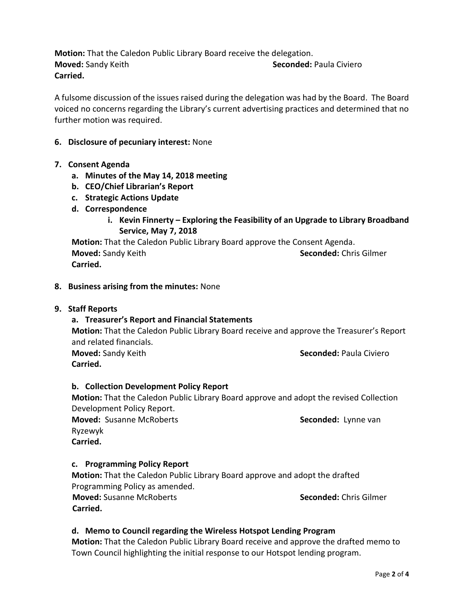**Motion:** That the Caledon Public Library Board receive the delegation. **Moved:** Sandy Keith **Seconded:** Paula Civiero **Carried.** 

A fulsome discussion of the issues raised during the delegation was had by the Board. The Board voiced no concerns regarding the Library's current advertising practices and determined that no further motion was required.

# **6. Disclosure of pecuniary interest:** None

# **7. Consent Agenda**

- **a. Minutes of the May 14, 2018 meeting**
- **b. CEO/Chief Librarian's Report**
- **c. Strategic Actions Update**
- **d. Correspondence**
	- **i. Kevin Finnerty – Exploring the Feasibility of an Upgrade to Library Broadband Service, May 7, 2018**

**Motion:** That the Caledon Public Library Board approve the Consent Agenda. **Moved:** Sandy Keith **Seconded:** Chris Gilmer **Carried.** 

**8. Business arising from the minutes:** None

# **9. Staff Reports**

# **a. Treasurer's Report and Financial Statements**

**Motion:** That the Caledon Public Library Board receive and approve the Treasurer's Report and related financials.

**Carried.** 

**Moved:** Sandy Keith **Seconded:** Paula Civiero

# **b. Collection Development Policy Report**

**Motion:** That the Caledon Public Library Board approve and adopt the revised Collection Development Policy Report.

**Moved:** Susanne McRoberts **Seconded:** Lynne van Ryzewyk **Carried.** 

# **c. Programming Policy Report**

**Motion:** That the Caledon Public Library Board approve and adopt the drafted Programming Policy as amended.

 **Moved:** Susanne McRoberts **Seconded:** Chris Gilmer **Carried.**

# **d. Memo to Council regarding the Wireless Hotspot Lending Program**

**Motion:** That the Caledon Public Library Board receive and approve the drafted memo to Town Council highlighting the initial response to our Hotspot lending program.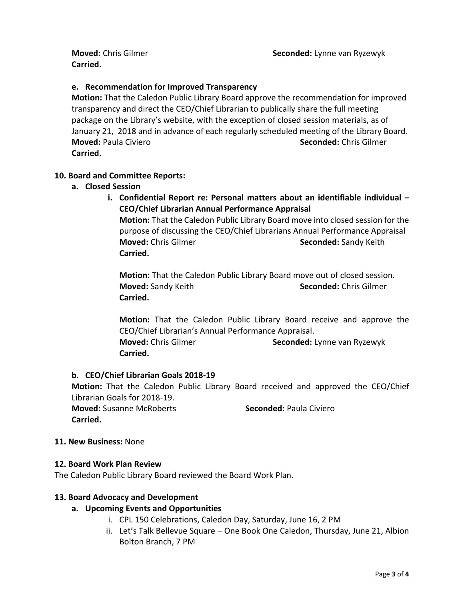**Carried.**

# **e. Recommendation for Improved Transparency**

**Motion:** That the Caledon Public Library Board approve the recommendation for improved transparency and direct the CEO/Chief Librarian to publically share the full meeting package on the Library's website, with the exception of closed session materials, as of January 21, 2018 and in advance of each regularly scheduled meeting of the Library Board. **Moved:** Paula Civiero **Seconded:** Chris Gilmer **Carried.** 

# **10. Board and Committee Reports:**

- **a. Closed Session** 
	- **i. Confidential Report re: Personal matters about an identifiable individual – CEO/Chief Librarian Annual Performance Appraisal Motion:** That the Caledon Public Library Board move into closed session for the purpose of discussing the CEO/Chief Librarians Annual Performance Appraisal **Moved:** Chris Gilmer **Seconded:** Sandy Keith **Carried.**

**Motion:** That the Caledon Public Library Board move out of closed session. **Moved:** Sandy Keith **Seconded:** Chris Gilmer **Carried.** 

**Motion:** That the Caledon Public Library Board receive and approve the CEO/Chief Librarian's Annual Performance Appraisal. **Moved:** Chris Gilmer **Seconded:** Lynne van Ryzewyk **Carried.** 

# **b. CEO/Chief Librarian Goals 2018-19**

**Motion:** That the Caledon Public Library Board received and approved the CEO/Chief Librarian Goals for 2018-19. **Moved:** Susanne McRoberts **Seconded:** Paula Civiero **Carried.** 

#### **11. New Business:** None

#### **12. Board Work Plan Review**

The Caledon Public Library Board reviewed the Board Work Plan.

#### **13. Board Advocacy and Development**

# **a. Upcoming Events and Opportunities**

- i. CPL 150 Celebrations, Caledon Day, Saturday, June 16, 2 PM
- ii. Let's Talk Bellevue Square One Book One Caledon, Thursday, June 21, Albion Bolton Branch, 7 PM